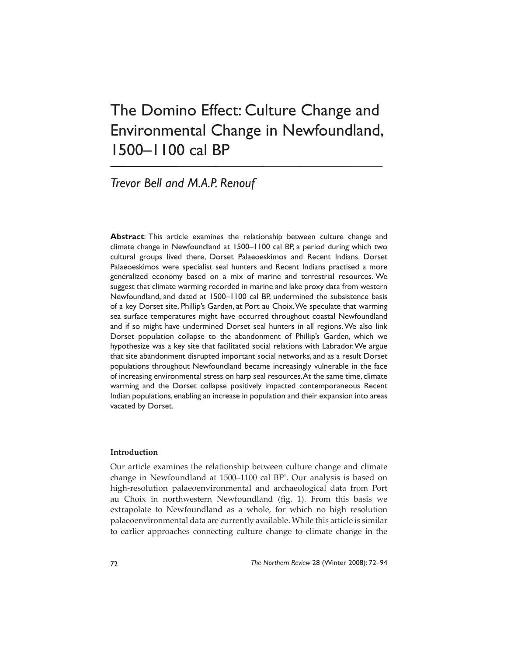# The Domino Effect: Culture Change and Environmental Change in Newfoundland, 1500–1100 cal BP

*Trevor Bell and M.A.P. Renouf*

**Abstract**: This article examines the relationship between culture change and climate change in Newfoundland at 1500–1100 cal BP, a period during which two cultural groups lived there, Dorset Palaeoeskimos and Recent Indians. Dorset Palaeoeskimos were specialist seal hunters and Recent Indians practised a more generalized economy based on a mix of marine and terrestrial resources. We suggest that climate warming recorded in marine and lake proxy data from western Newfoundland, and dated at 1500–1100 cal BP, undermined the subsistence basis of a key Dorset site, Phillip's Garden, at Port au Choix. We speculate that warming sea surface temperatures might have occurred throughout coastal Newfoundland and if so might have undermined Dorset seal hunters in all regions. We also link Dorset population collapse to the abandonment of Phillip's Garden, which we hypothesize was a key site that facilitated social relations with Labrador. We argue that site abandonment disrupted important social networks, and as a result Dorset populations throughout Newfoundland became increasingly vulnerable in the face of increasing environmental stress on harp seal resources. At the same time, climate warming and the Dorset collapse positively impacted contemporaneous Recent Indian populations, enabling an increase in population and their expansion into areas vacated by Dorset.

## **Introduction**

Our article examines the relationship between culture change and climate change in Newfoundland at 1500–1100 cal BP1 . Our analysis is based on high-resolution palaeoenvironmental and archaeological data from Port au Choix in northwestern Newfoundland (fig. 1). From this basis we extrapolate to Newfoundland as a whole, for which no high resolution palaeoenvironmental data are currently available. While this article is similar to earlier approaches connecting culture change to climate change in the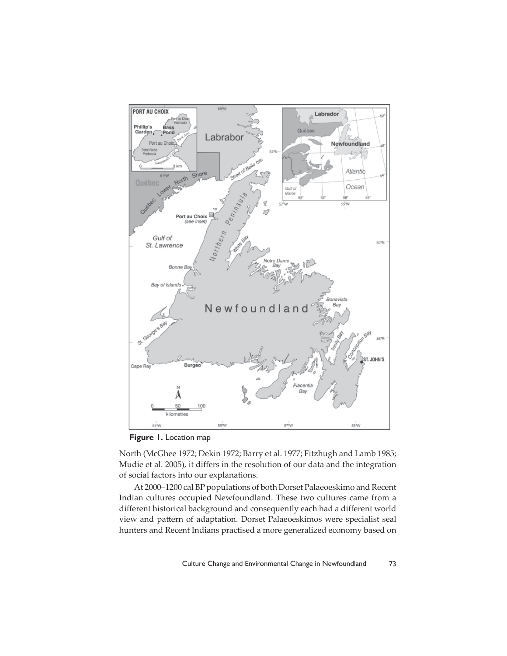

**Figure 1.** Location map

North (McGhee 1972; Dekin 1972; Barry et al. 1977; Fitzhugh and Lamb 1985; Mudie et al. 2005), it differs in the resolution of our data and the integration of social factors into our explanations.

At 2000–1200 cal BP populations of both Dorset Palaeoeskimo and Recent Indian cultures occupied Newfoundland. These two cultures came from a different historical background and consequently each had a different world view and pattern of adaptation. Dorset Palaeoeskimos were specialist seal hunters and Recent Indians practised a more generalized economy based on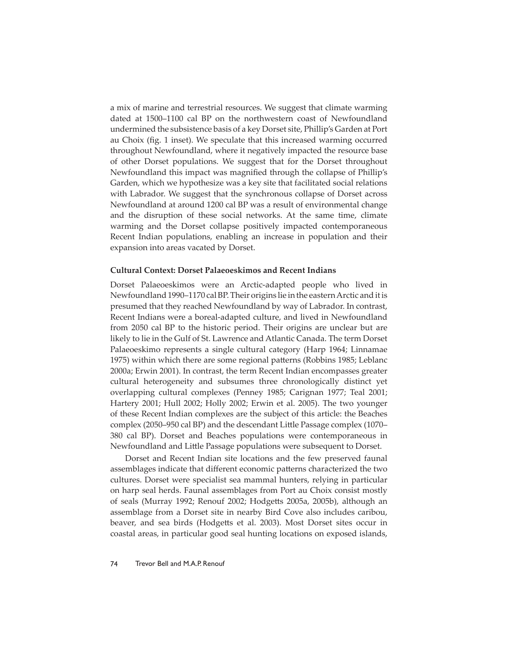a mix of marine and terrestrial resources. We suggest that climate warming dated at 1500–1100 cal BP on the northwestern coast of Newfoundland undermined the subsistence basis of a key Dorset site, Phillip's Garden at Port au Choix (fig. 1 inset). We speculate that this increased warming occurred throughout Newfoundland, where it negatively impacted the resource base of other Dorset populations. We suggest that for the Dorset throughout Newfoundland this impact was magnified through the collapse of Phillip's Garden, which we hypothesize was a key site that facilitated social relations with Labrador. We suggest that the synchronous collapse of Dorset across Newfoundland at around 1200 cal BP was a result of environmental change and the disruption of these social networks. At the same time, climate warming and the Dorset collapse positively impacted contemporaneous Recent Indian populations, enabling an increase in population and their expansion into areas vacated by Dorset.

#### **Cultural Context: Dorset Palaeoeskimos and Recent Indians**

Dorset Palaeoeskimos were an Arctic-adapted people who lived in Newfoundland 1990–1170 cal BP. Their origins lie in the eastern Arctic and it is presumed that they reached Newfoundland by way of Labrador. In contrast, Recent Indians were a boreal-adapted culture, and lived in Newfoundland from 2050 cal BP to the historic period. Their origins are unclear but are likely to lie in the Gulf of St. Lawrence and Atlantic Canada. The term Dorset Palaeoeskimo represents a single cultural category (Harp 1964; Linnamae 1975) within which there are some regional patterns (Robbins 1985; Leblanc 2000a; Erwin 2001). In contrast, the term Recent Indian encompasses greater cultural heterogeneity and subsumes three chronologically distinct yet overlapping cultural complexes (Penney 1985; Carignan 1977; Teal 2001; Hartery 2001; Hull 2002; Holly 2002; Erwin et al. 2005). The two younger of these Recent Indian complexes are the subject of this article: the Beaches complex (2050–950 cal BP) and the descendant Little Passage complex (1070– 380 cal BP). Dorset and Beaches populations were contemporaneous in Newfoundland and Little Passage populations were subsequent to Dorset.

Dorset and Recent Indian site locations and the few preserved faunal assemblages indicate that different economic patterns characterized the two cultures. Dorset were specialist sea mammal hunters, relying in particular on harp seal herds. Faunal assemblages from Port au Choix consist mostly of seals (Murray 1992; Renouf 2002; Hodgetts 2005a, 2005b), although an assemblage from a Dorset site in nearby Bird Cove also includes caribou, beaver, and sea birds (Hodgetts et al. 2003). Most Dorset sites occur in coastal areas, in particular good seal hunting locations on exposed islands,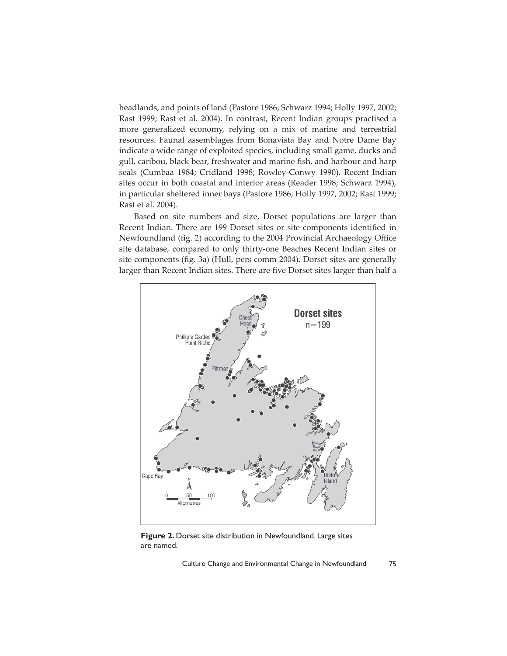headlands, and points of land (Pastore 1986; Schwarz 1994; Holly 1997, 2002; Rast 1999; Rast et al. 2004). In contrast, Recent Indian groups practised a more generalized economy, relying on a mix of marine and terrestrial resources. Faunal assemblages from Bonavista Bay and Notre Dame Bay indicate a wide range of exploited species, including small game, ducks and gull, caribou, black bear, freshwater and marine fish, and harbour and harp seals (Cumbaa 1984; Cridland 1998; Rowley-Conwy 1990). Recent Indian sites occur in both coastal and interior areas (Reader 1998; Schwarz 1994), in particular sheltered inner bays (Pastore 1986; Holly 1997, 2002; Rast 1999; Rast et al. 2004).

Based on site numbers and size, Dorset populations are larger than Recent Indian. There are 199 Dorset sites or site components identified in Newfoundland (fig. 2) according to the 2004 Provincial Archaeology Office site database, compared to only thirty-one Beaches Recent Indian sites or site components (fig. 3a) (Hull, pers comm 2004). Dorset sites are generally larger than Recent Indian sites. There are five Dorset sites larger than half a



**Figure 2.** Dorset site distribution in Newfoundland. Large sites are named.

Culture Change and Environmental Change in Newfoundland 75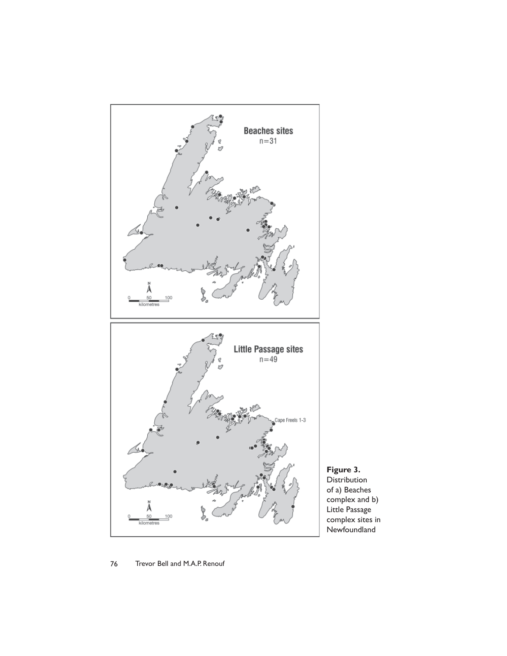

**Figure 3.**  Distribution of a) Beaches complex and b) Little Passage complex sites in Newfoundland

## 76 Trevor Bell and M.A.P. Renouf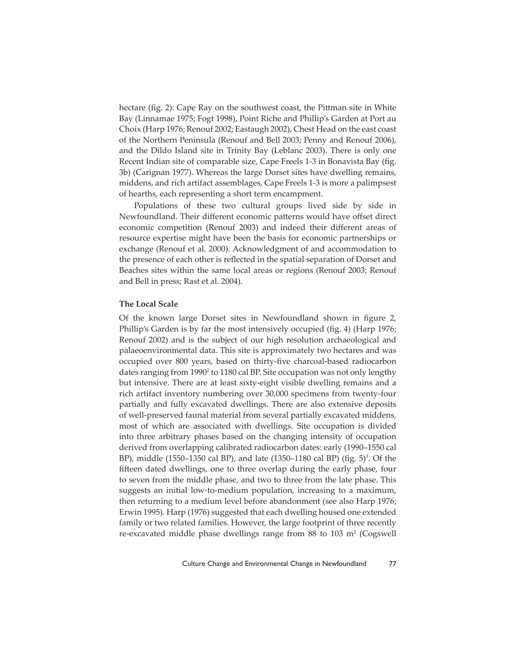hectare (fig. 2): Cape Ray on the southwest coast, the Pittman site in White Bay (Linnamae 1975; Fogt 1998), Point Riche and Phillip's Garden at Port au Choix (Harp 1976; Renouf 2002; Eastaugh 2002), Chest Head on the east coast of the Northern Peninsula (Renouf and Bell 2003; Penny and Renouf 2006), and the Dildo Island site in Trinity Bay (Leblanc 2003). There is only one Recent Indian site of comparable size, Cape Freels 1-3 in Bonavista Bay (fig. 3b) (Carignan 1977). Whereas the large Dorset sites have dwelling remains, middens, and rich artifact assemblages, Cape Freels 1-3 is more a palimpsest of hearths, each representing a short term encampment.

Populations of these two cultural groups lived side by side in Newfoundland. Their different economic patterns would have offset direct economic competition (Renouf 2003) and indeed their different areas of resource expertise might have been the basis for economic partnerships or exchange (Renouf et al. 2000). Acknowledgment of and accommodation to the presence of each other is reflected in the spatial separation of Dorset and Beaches sites within the same local areas or regions (Renouf 2003; Renouf and Bell in press; Rast et al. 2004).

#### **The Local Scale**

Of the known large Dorset sites in Newfoundland shown in figure 2, Phillip's Garden is by far the most intensively occupied (fig. 4) (Harp 1976; Renouf 2002) and is the subject of our high resolution archaeological and palaeoenvironmental data. This site is approximately two hectares and was occupied over 800 years, based on thirty-five charcoal-based radiocarbon dates ranging from 1990<sup>2</sup> to 1180 cal BP. Site occupation was not only lengthy but intensive. There are at least sixty-eight visible dwelling remains and a rich artifact inventory numbering over 30,000 specimens from twenty-four partially and fully excavated dwellings. There are also extensive deposits of well-preserved faunal material from several partially excavated middens, most of which are associated with dwellings. Site occupation is divided into three arbitrary phases based on the changing intensity of occupation derived from overlapping calibrated radiocarbon dates: early (1990–1550 cal BP), middle (1550–1350 cal BP), and late (1350–1180 cal BP) (fig. 5)<sup>3</sup>. Of the fifteen dated dwellings, one to three overlap during the early phase, four to seven from the middle phase, and two to three from the late phase. This suggests an initial low-to-medium population, increasing to a maximum, then returning to a medium level before abandonment (see also Harp 1976; Erwin 1995). Harp (1976) suggested that each dwelling housed one extended family or two related families. However, the large footprint of three recently re-excavated middle phase dwellings range from  $88$  to  $103 \text{ m}^2$  (Cogswell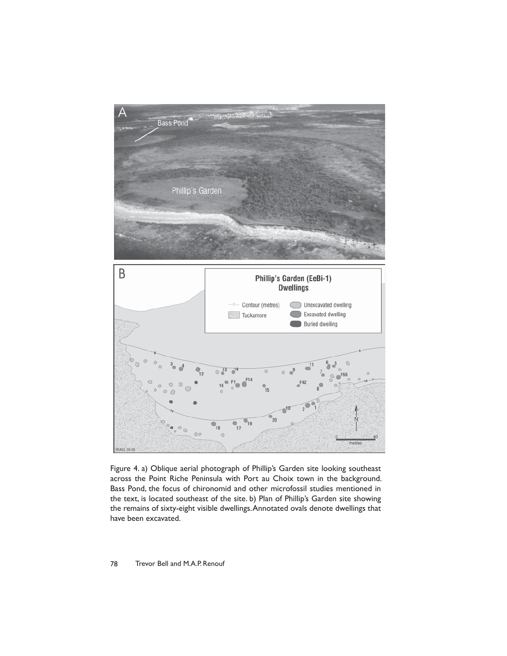

Figure 4. a) Oblique aerial photograph of Phillip's Garden site looking southeast across the Point Riche Peninsula with Port au Choix town in the background. Bass Pond, the focus of chironomid and other microfossil studies mentioned in the text, is located southeast of the site. b) Plan of Phillip's Garden site showing the remains of sixty-eight visible dwellings. Annotated ovals denote dwellings that have been excavated.

#### 78 Trevor Bell and M.A.P. Renouf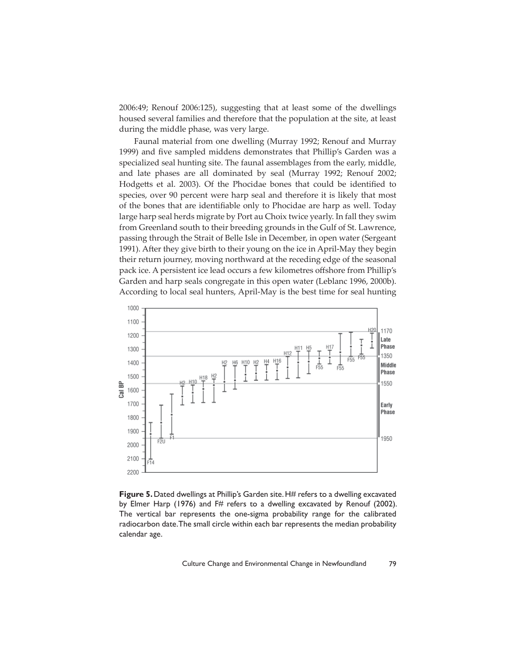2006:49; Renouf 2006:125), suggesting that at least some of the dwellings housed several families and therefore that the population at the site, at least during the middle phase, was very large.

Faunal material from one dwelling (Murray 1992; Renouf and Murray 1999) and five sampled middens demonstrates that Phillip's Garden was a specialized seal hunting site. The faunal assemblages from the early, middle, and late phases are all dominated by seal (Murray 1992; Renouf 2002; Hodgetts et al. 2003). Of the Phocidae bones that could be identified to species, over 90 percent were harp seal and therefore it is likely that most of the bones that are identifiable only to Phocidae are harp as well. Today large harp seal herds migrate by Port au Choix twice yearly. In fall they swim from Greenland south to their breeding grounds in the Gulf of St. Lawrence, passing through the Strait of Belle Isle in December, in open water (Sergeant 1991). After they give birth to their young on the ice in April-May they begin their return journey, moving northward at the receding edge of the seasonal pack ice. A persistent ice lead occurs a few kilometres offshore from Phillip's Garden and harp seals congregate in this open water (Leblanc 1996, 2000b). According to local seal hunters, April-May is the best time for seal hunting



**Figure 5.** Dated dwellings at Phillip's Garden site. H# refers to a dwelling excavated by Elmer Harp (1976) and F# refers to a dwelling excavated by Renouf (2002). The vertical bar represents the one-sigma probability range for the calibrated radiocarbon date. The small circle within each bar represents the median probability calendar age.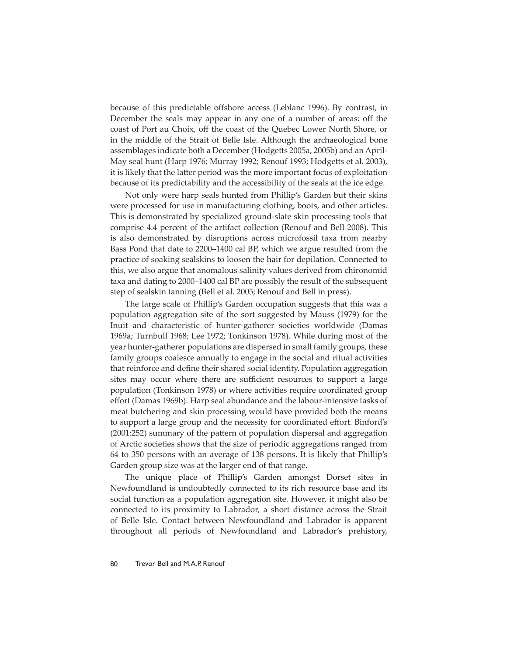because of this predictable offshore access (Leblanc 1996). By contrast, in December the seals may appear in any one of a number of areas: off the coast of Port au Choix, off the coast of the Quebec Lower North Shore, or in the middle of the Strait of Belle Isle. Although the archaeological bone assemblages indicate both a December (Hodgetts 2005a, 2005b) and an April-May seal hunt (Harp 1976; Murray 1992; Renouf 1993; Hodgetts et al. 2003), it is likely that the latter period was the more important focus of exploitation because of its predictability and the accessibility of the seals at the ice edge.

Not only were harp seals hunted from Phillip's Garden but their skins were processed for use in manufacturing clothing, boots, and other articles. This is demonstrated by specialized ground-slate skin processing tools that comprise 4.4 percent of the artifact collection (Renouf and Bell 2008). This is also demonstrated by disruptions across microfossil taxa from nearby Bass Pond that date to 2200–1400 cal BP, which we argue resulted from the practice of soaking sealskins to loosen the hair for depilation. Connected to this, we also argue that anomalous salinity values derived from chironomid taxa and dating to 2000–1400 cal BP are possibly the result of the subsequent step of sealskin tanning (Bell et al. 2005; Renouf and Bell in press).

The large scale of Phillip's Garden occupation suggests that this was a population aggregation site of the sort suggested by Mauss (1979) for the Inuit and characteristic of hunter-gatherer societies worldwide (Damas 1969a; Turnbull 1968; Lee 1972; Tonkinson 1978). While during most of the year hunter-gatherer populations are dispersed in small family groups, these family groups coalesce annually to engage in the social and ritual activities that reinforce and define their shared social identity. Population aggregation sites may occur where there are sufficient resources to support a large population (Tonkinson 1978) or where activities require coordinated group effort (Damas 1969b). Harp seal abundance and the labour-intensive tasks of meat butchering and skin processing would have provided both the means to support a large group and the necessity for coordinated effort. Binford's (2001:252) summary of the pattern of population dispersal and aggregation of Arctic societies shows that the size of periodic aggregations ranged from 64 to 350 persons with an average of 138 persons. It is likely that Phillip's Garden group size was at the larger end of that range.

The unique place of Phillip's Garden amongst Dorset sites in Newfoundland is undoubtedly connected to its rich resource base and its social function as a population aggregation site. However, it might also be connected to its proximity to Labrador, a short distance across the Strait of Belle Isle. Contact between Newfoundland and Labrador is apparent throughout all periods of Newfoundland and Labrador's prehistory,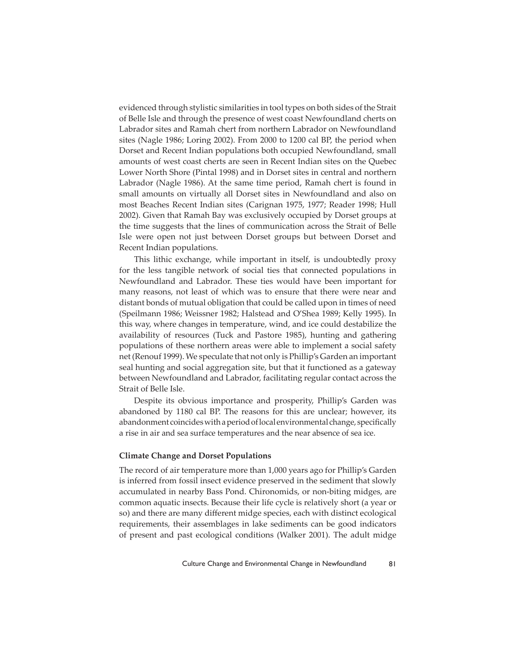evidenced through stylistic similarities in tool types on both sides of the Strait of Belle Isle and through the presence of west coast Newfoundland cherts on Labrador sites and Ramah chert from northern Labrador on Newfoundland sites (Nagle 1986; Loring 2002). From 2000 to 1200 cal BP, the period when Dorset and Recent Indian populations both occupied Newfoundland, small amounts of west coast cherts are seen in Recent Indian sites on the Quebec Lower North Shore (Pintal 1998) and in Dorset sites in central and northern Labrador (Nagle 1986). At the same time period, Ramah chert is found in small amounts on virtually all Dorset sites in Newfoundland and also on most Beaches Recent Indian sites (Carignan 1975, 1977; Reader 1998; Hull 2002). Given that Ramah Bay was exclusively occupied by Dorset groups at the time suggests that the lines of communication across the Strait of Belle Isle were open not just between Dorset groups but between Dorset and Recent Indian populations.

This lithic exchange, while important in itself, is undoubtedly proxy for the less tangible network of social ties that connected populations in Newfoundland and Labrador. These ties would have been important for many reasons, not least of which was to ensure that there were near and distant bonds of mutual obligation that could be called upon in times of need (Speilmann 1986; Weissner 1982; Halstead and O'Shea 1989; Kelly 1995). In this way, where changes in temperature, wind, and ice could destabilize the availability of resources (Tuck and Pastore 1985), hunting and gathering populations of these northern areas were able to implement a social safety net (Renouf 1999). We speculate that not only is Phillip's Garden an important seal hunting and social aggregation site, but that it functioned as a gateway between Newfoundland and Labrador, facilitating regular contact across the Strait of Belle Isle.

Despite its obvious importance and prosperity, Phillip's Garden was abandoned by 1180 cal BP. The reasons for this are unclear; however, its abandonment coincides with a period of local environmental change, specifically a rise in air and sea surface temperatures and the near absence of sea ice.

#### **Climate Change and Dorset Populations**

The record of air temperature more than 1,000 years ago for Phillip's Garden is inferred from fossil insect evidence preserved in the sediment that slowly accumulated in nearby Bass Pond. Chironomids, or non-biting midges, are common aquatic insects. Because their life cycle is relatively short (a year or so) and there are many different midge species, each with distinct ecological requirements, their assemblages in lake sediments can be good indicators of present and past ecological conditions (Walker 2001). The adult midge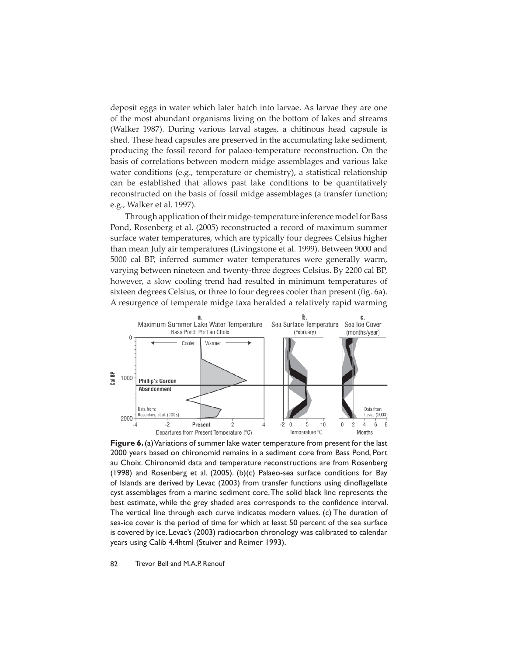deposit eggs in water which later hatch into larvae. As larvae they are one of the most abundant organisms living on the bottom of lakes and streams (Walker 1987). During various larval stages, a chitinous head capsule is shed. These head capsules are preserved in the accumulating lake sediment, producing the fossil record for palaeo-temperature reconstruction. On the basis of correlations between modern midge assemblages and various lake water conditions (e.g., temperature or chemistry), a statistical relationship can be established that allows past lake conditions to be quantitatively reconstructed on the basis of fossil midge assemblages (a transfer function; e.g., Walker et al. 1997).

Through application of their midge-temperature inference model for Bass Pond, Rosenberg et al. (2005) reconstructed a record of maximum summer surface water temperatures, which are typically four degrees Celsius higher than mean July air temperatures (Livingstone et al. 1999). Between 9000 and 5000 cal BP, inferred summer water temperatures were generally warm, varying between nineteen and twenty-three degrees Celsius. By 2200 cal BP, however, a slow cooling trend had resulted in minimum temperatures of sixteen degrees Celsius, or three to four degrees cooler than present (fig. 6a). A resurgence of temperate midge taxa heralded a relatively rapid warming



**Figure 6.** (a) Variations of summer lake water temperature from present for the last 2000 years based on chironomid remains in a sediment core from Bass Pond, Port au Choix. Chironomid data and temperature reconstructions are from Rosenberg (1998) and Rosenberg et al. (2005). (b)(c) Palaeo-sea surface conditions for Bay of Islands are derived by Levac (2003) from transfer functions using dinoflagellate cyst assemblages from a marine sediment core. The solid black line represents the best estimate, while the grey shaded area corresponds to the confidence interval. The vertical line through each curve indicates modern values. (c) The duration of sea-ice cover is the period of time for which at least 50 percent of the sea surface is covered by ice. Levac's (2003) radiocarbon chronology was calibrated to calendar years using Calib 4.4html (Stuiver and Reimer 1993).

82 Trevor Bell and M.A.P. Renouf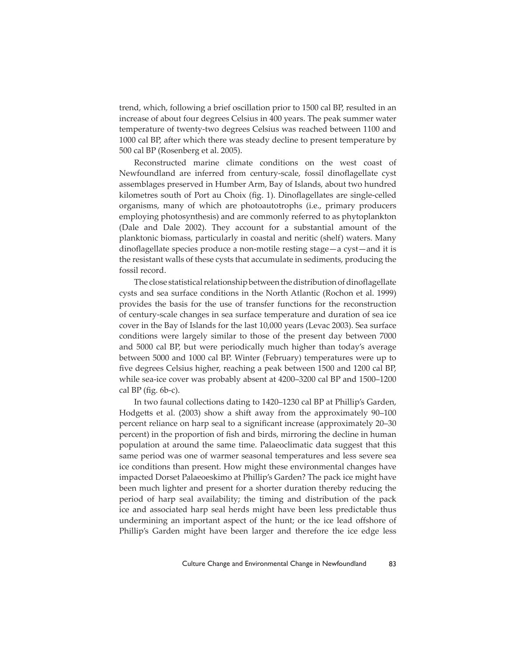trend, which, following a brief oscillation prior to 1500 cal BP, resulted in an increase of about four degrees Celsius in 400 years. The peak summer water temperature of twenty-two degrees Celsius was reached between 1100 and 1000 cal BP, after which there was steady decline to present temperature by 500 cal BP (Rosenberg et al. 2005).

Reconstructed marine climate conditions on the west coast of Newfoundland are inferred from century-scale, fossil dinoflagellate cyst assemblages preserved in Humber Arm, Bay of Islands, about two hundred kilometres south of Port au Choix (fig. 1). Dinoflagellates are single-celled organisms, many of which are photoautotrophs (i.e., primary producers employing photosynthesis) and are commonly referred to as phytoplankton (Dale and Dale 2002). They account for a substantial amount of the planktonic biomass, particularly in coastal and neritic (shelf) waters. Many dinoflagellate species produce a non-motile resting stage—a cyst—and it is the resistant walls of these cysts that accumulate in sediments, producing the fossil record.

The close statistical relationship between the distribution of dinoflagellate cysts and sea surface conditions in the North Atlantic (Rochon et al. 1999) provides the basis for the use of transfer functions for the reconstruction of century-scale changes in sea surface temperature and duration of sea ice cover in the Bay of Islands for the last 10,000 years (Levac 2003). Sea surface conditions were largely similar to those of the present day between 7000 and 5000 cal BP, but were periodically much higher than today's average between 5000 and 1000 cal BP. Winter (February) temperatures were up to five degrees Celsius higher, reaching a peak between 1500 and 1200 cal BP, while sea-ice cover was probably absent at 4200–3200 cal BP and 1500–1200 cal BP (fig.  $6b-c$ ).

In two faunal collections dating to 1420–1230 cal BP at Phillip's Garden, Hodgetts et al. (2003) show a shift away from the approximately 90–100 percent reliance on harp seal to a significant increase (approximately 20–30 percent) in the proportion of fish and birds, mirroring the decline in human population at around the same time. Palaeoclimatic data suggest that this same period was one of warmer seasonal temperatures and less severe sea ice conditions than present. How might these environmental changes have impacted Dorset Palaeoeskimo at Phillip's Garden? The pack ice might have been much lighter and present for a shorter duration thereby reducing the period of harp seal availability; the timing and distribution of the pack ice and associated harp seal herds might have been less predictable thus undermining an important aspect of the hunt; or the ice lead offshore of Phillip's Garden might have been larger and therefore the ice edge less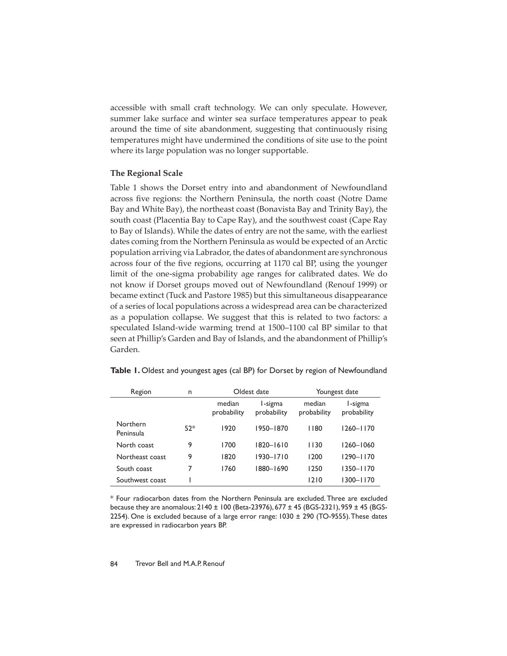accessible with small craft technology. We can only speculate. However, summer lake surface and winter sea surface temperatures appear to peak around the time of site abandonment, suggesting that continuously rising temperatures might have undermined the conditions of site use to the point where its large population was no longer supportable.

## **The Regional Scale**

Table 1 shows the Dorset entry into and abandonment of Newfoundland across five regions: the Northern Peninsula, the north coast (Notre Dame Bay and White Bay), the northeast coast (Bonavista Bay and Trinity Bay), the south coast (Placentia Bay to Cape Ray), and the southwest coast (Cape Ray to Bay of Islands). While the dates of entry are not the same, with the earliest dates coming from the Northern Peninsula as would be expected of an Arctic population arriving via Labrador, the dates of abandonment are synchronous across four of the five regions, occurring at 1170 cal BP, using the younger limit of the one-sigma probability age ranges for calibrated dates. We do not know if Dorset groups moved out of Newfoundland (Renouf 1999) or became extinct (Tuck and Pastore 1985) but this simultaneous disappearance of a series of local populations across a widespread area can be characterized as a population collapse. We suggest that this is related to two factors: a speculated Island-wide warming trend at 1500–1100 cal BP similar to that seen at Phillip's Garden and Bay of Islands, and the abandonment of Phillip's Garden.

| Table 1. Oldest and youngest ages (cal BP) for Dorset by region of Newfoundland |  |  |  |  |  |
|---------------------------------------------------------------------------------|--|--|--|--|--|
|---------------------------------------------------------------------------------|--|--|--|--|--|

| Region                | n     | Oldest date           |                        | Youngest date         |                        |
|-----------------------|-------|-----------------------|------------------------|-----------------------|------------------------|
|                       |       | median<br>probability | I-sigma<br>probability | median<br>probability | I-sigma<br>probability |
| Northern<br>Peninsula | $52*$ | 1920                  | 1950-1870              | 1180                  | $1260 - 1170$          |
| North coast           | 9     | 1700                  | 1820-1610              | 1130                  | $1260 - 1060$          |
| Northeast coast       | 9     | 1820                  | $1930 - 1710$          | 1200                  | 1290-1170              |
| South coast           | 7     | 1760                  | 1880-1690              | 1250                  | $1350 - 1170$          |
| Southwest coast       |       |                       |                        | 1210                  | $1300 - 1170$          |

\* Four radiocarbon dates from the Northern Peninsula are excluded. Three are excluded because they are anomalous: 2140 ± 100 (Beta-23976), 677 ± 45 (BGS-2321), 959 ± 45 (BGS-2254). One is excluded because of a large error range:  $1030 \pm 290$  (TO-9555). These dates are expressed in radiocarbon years BP.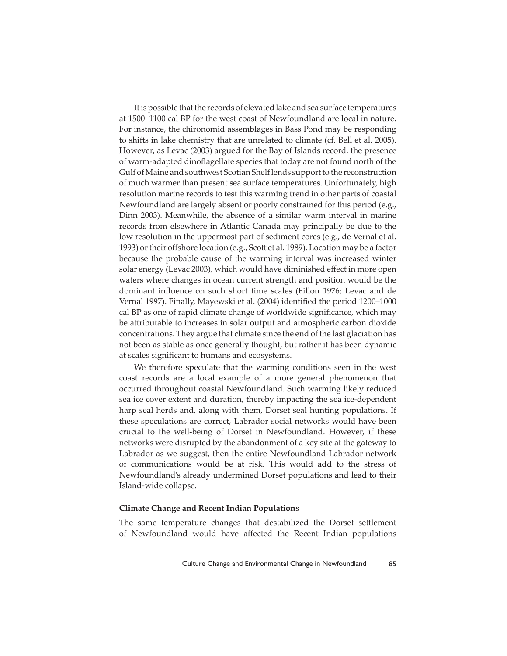It is possible that the records of elevated lake and sea surface temperatures at 1500–1100 cal BP for the west coast of Newfoundland are local in nature. For instance, the chironomid assemblages in Bass Pond may be responding to shifts in lake chemistry that are unrelated to climate (cf. Bell et al. 2005). However, as Levac (2003) argued for the Bay of Islands record, the presence of warm-adapted dinoflagellate species that today are not found north of the Gulf of Maine and southwest Scotian Shelf lends support to the reconstruction of much warmer than present sea surface temperatures. Unfortunately, high resolution marine records to test this warming trend in other parts of coastal Newfoundland are largely absent or poorly constrained for this period (e.g., Dinn 2003). Meanwhile, the absence of a similar warm interval in marine records from elsewhere in Atlantic Canada may principally be due to the low resolution in the uppermost part of sediment cores (e.g., de Vernal et al. 1993) or their offshore location (e.g., Scott et al. 1989). Location may be a factor because the probable cause of the warming interval was increased winter solar energy (Levac 2003), which would have diminished effect in more open waters where changes in ocean current strength and position would be the dominant influence on such short time scales (Fillon 1976; Levac and de Vernal 1997). Finally, Mayewski et al. (2004) identified the period 1200–1000 cal BP as one of rapid climate change of worldwide significance, which may be att ributable to increases in solar output and atmospheric carbon dioxide concentrations. They argue that climate since the end of the last glaciation has not been as stable as once generally thought, but rather it has been dynamic at scales significant to humans and ecosystems.

We therefore speculate that the warming conditions seen in the west coast records are a local example of a more general phenomenon that occurred throughout coastal Newfoundland. Such warming likely reduced sea ice cover extent and duration, thereby impacting the sea ice-dependent harp seal herds and, along with them, Dorset seal hunting populations. If these speculations are correct, Labrador social networks would have been crucial to the well-being of Dorset in Newfoundland. However, if these networks were disrupted by the abandonment of a key site at the gateway to Labrador as we suggest, then the entire Newfoundland-Labrador network of communications would be at risk. This would add to the stress of Newfoundland's already undermined Dorset populations and lead to their Island-wide collapse.

#### **Climate Change and Recent Indian Populations**

The same temperature changes that destabilized the Dorset settlement of Newfoundland would have affected the Recent Indian populations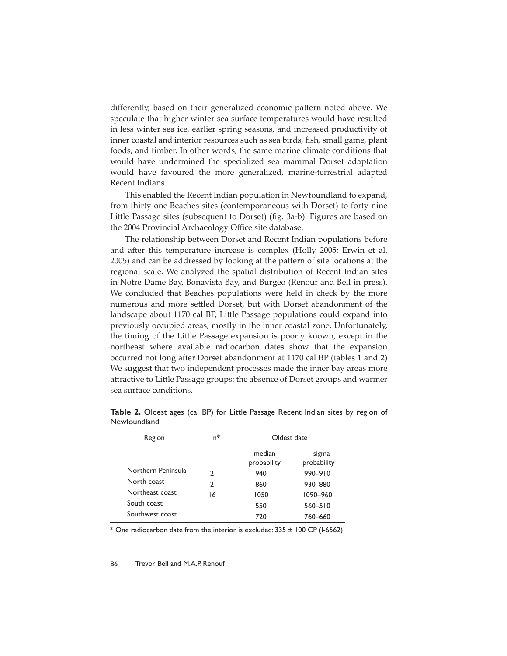differently, based on their generalized economic pattern noted above. We speculate that higher winter sea surface temperatures would have resulted in less winter sea ice, earlier spring seasons, and increased productivity of inner coastal and interior resources such as sea birds, fish, small game, plant foods, and timber. In other words, the same marine climate conditions that would have undermined the specialized sea mammal Dorset adaptation would have favoured the more generalized, marine-terrestrial adapted Recent Indians.

This enabled the Recent Indian population in Newfoundland to expand, from thirty-one Beaches sites (contemporaneous with Dorset) to forty-nine Little Passage sites (subsequent to Dorset) (fig. 3a-b). Figures are based on the 2004 Provincial Archaeology Office site database.

The relationship between Dorset and Recent Indian populations before and after this temperature increase is complex (Holly 2005; Erwin et al. 2005) and can be addressed by looking at the pattern of site locations at the regional scale. We analyzed the spatial distribution of Recent Indian sites in Notre Dame Bay, Bonavista Bay, and Burgeo (Renouf and Bell in press). We concluded that Beaches populations were held in check by the more numerous and more settled Dorset, but with Dorset abandonment of the landscape about 1170 cal BP, Little Passage populations could expand into previously occupied areas, mostly in the inner coastal zone. Unfortunately, the timing of the Little Passage expansion is poorly known, except in the northeast where available radiocarbon dates show that the expansion occurred not long after Dorset abandonment at 1170 cal BP (tables 1 and 2) We suggest that two independent processes made the inner bay areas more attractive to Little Passage groups: the absence of Dorset groups and warmer sea surface conditions.

| Region             | $n^*$ | Oldest date           |                        |
|--------------------|-------|-----------------------|------------------------|
|                    |       | median<br>probability | I-sigma<br>probability |
| Northern Peninsula | າ     | 940                   | 990-910                |
| North coast        | 2     | 860                   | 930-880                |
| Northeast coast    | 16    | 1050                  | 1090-960               |
| South coast        |       | 550                   | $560 - 510$            |
| Southwest coast    |       | 720                   | 760-660                |

**Table 2.** Oldest ages (cal BP) for Little Passage Recent Indian sites by region of Newfoundland

\* One radiocarbon date from the interior is excluded: 335 ± 100 CP (I-6562)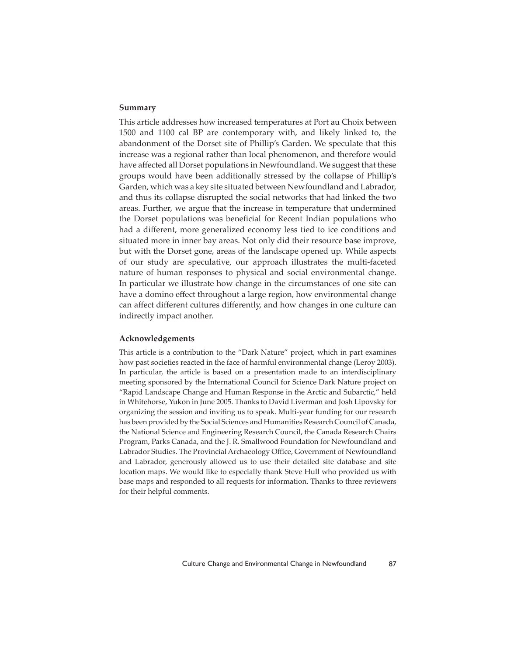## **Summary**

This article addresses how increased temperatures at Port au Choix between 1500 and 1100 cal BP are contemporary with, and likely linked to, the abandonment of the Dorset site of Phillip's Garden. We speculate that this increase was a regional rather than local phenomenon, and therefore would have affected all Dorset populations in Newfoundland. We suggest that these groups would have been additionally stressed by the collapse of Phillip's Garden, which was a key site situated between Newfoundland and Labrador, and thus its collapse disrupted the social networks that had linked the two areas. Further, we argue that the increase in temperature that undermined the Dorset populations was beneficial for Recent Indian populations who had a different, more generalized economy less tied to ice conditions and situated more in inner bay areas. Not only did their resource base improve, but with the Dorset gone, areas of the landscape opened up. While aspects of our study are speculative, our approach illustrates the multi-faceted nature of human responses to physical and social environmental change. In particular we illustrate how change in the circumstances of one site can have a domino effect throughout a large region, how environmental change can affect different cultures differently, and how changes in one culture can indirectly impact another.

#### **Acknowledgements**

This article is a contribution to the "Dark Nature" project, which in part examines how past societies reacted in the face of harmful environmental change (Leroy 2003). In particular, the article is based on a presentation made to an interdisciplinary meeting sponsored by the International Council for Science Dark Nature project on "Rapid Landscape Change and Human Response in the Arctic and Subarctic," held in Whitehorse, Yukon in June 2005. Thanks to David Liverman and Josh Lipovsky for organizing the session and inviting us to speak. Multi-year funding for our research has been provided by the Social Sciences and Humanities Research Council of Canada, the National Science and Engineering Research Council, the Canada Research Chairs Program, Parks Canada, and the J. R. Smallwood Foundation for Newfoundland and Labrador Studies. The Provincial Archaeology Office, Government of Newfoundland and Labrador, generously allowed us to use their detailed site database and site location maps. We would like to especially thank Steve Hull who provided us with base maps and responded to all requests for information. Thanks to three reviewers for their helpful comments.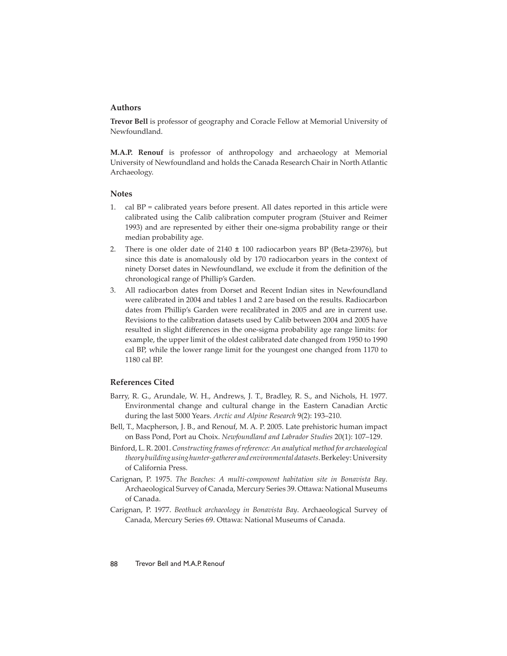## **Authors**

**Trevor Bell** is professor of geography and Coracle Fellow at Memorial University of Newfoundland.

**M.A.P. Renouf** is professor of anthropology and archaeology at Memorial University of Newfoundland and holds the Canada Research Chair in North Atlantic Archaeology.

#### **Notes**

- 1. cal BP = calibrated years before present. All dates reported in this article were calibrated using the Calib calibration computer program (Stuiver and Reimer 1993) and are represented by either their one-sigma probability range or their median probability age.
- 2. There is one older date of  $2140 \pm 100$  radiocarbon years BP (Beta-23976), but since this date is anomalously old by 170 radiocarbon years in the context of ninety Dorset dates in Newfoundland, we exclude it from the definition of the chronological range of Phillip's Garden.
- 3. All radiocarbon dates from Dorset and Recent Indian sites in Newfoundland were calibrated in 2004 and tables 1 and 2 are based on the results. Radiocarbon dates from Phillip's Garden were recalibrated in 2005 and are in current use. Revisions to the calibration datasets used by Calib between 2004 and 2005 have resulted in slight differences in the one-sigma probability age range limits: for example, the upper limit of the oldest calibrated date changed from 1950 to 1990 cal BP, while the lower range limit for the youngest one changed from 1170 to 1180 cal BP.

## **References Cited**

- Barry, R. G., Arundale, W. H., Andrews, J. T., Bradley, R. S., and Nichols, H. 1977. Environmental change and cultural change in the Eastern Canadian Arctic during the last 5000 Years. *Arctic and Alpine Research* 9(2): 193–210.
- Bell, T., Macpherson, J. B., and Renouf, M. A. P. 2005. Late prehistoric human impact on Bass Pond, Port au Choix. *Newfoundland and Labrador Studies* 20(1): 107–129.
- Binford, L. R. 2001. *Constructing frames of reference: An analytical method for archaeological theory building using hunter-gatherer and environmental datasets*. Berkeley: University of California Press.
- Carignan, P. 1975. *The Beaches: A multi-component habitation site in Bonavista Bay*. Archaeological Survey of Canada, Mercury Series 39. Ottawa: National Museums of Canada.
- Carignan, P. 1977. *Beothuck archaeology in Bonavista Bay*. Archaeological Survey of Canada, Mercury Series 69. Ottawa: National Museums of Canada.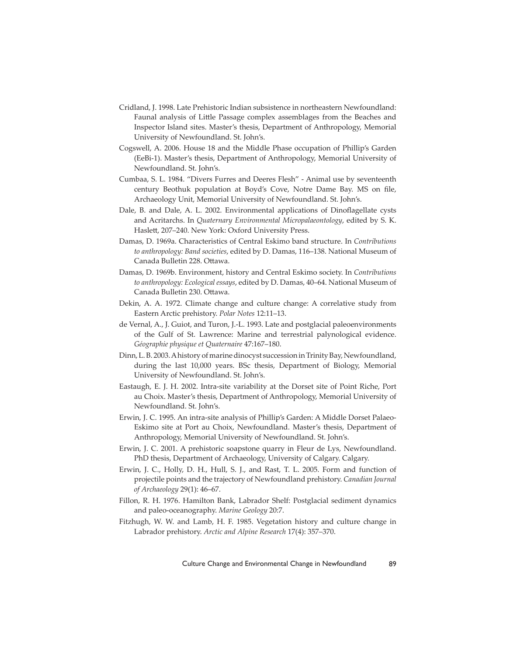- Cridland, J. 1998. Late Prehistoric Indian subsistence in northeastern Newfoundland: Faunal analysis of Little Passage complex assemblages from the Beaches and Inspector Island sites. Master's thesis, Department of Anthropology, Memorial University of Newfoundland. St. John's.
- Cogswell, A. 2006. House 18 and the Middle Phase occupation of Phillip's Garden (EeBi-1). Master's thesis, Department of Anthropology, Memorial University of Newfoundland. St. John's.
- Cumbaa, S. L. 1984. "Divers Furres and Deeres Flesh" Animal use by seventeenth century Beothuk population at Boyd's Cove, Notre Dame Bay. MS on file, Archaeology Unit, Memorial University of Newfoundland. St. John's.
- Dale, B. and Dale, A. L. 2002. Environmental applications of Dinoflagellate cysts and Acritarchs. In *Quaternary Environmental Micropalaeontology*, edited by S. K. Haslett, 207-240. New York: Oxford University Press.
- Damas, D. 1969a. Characteristics of Central Eskimo band structure. In *Contributions to anthropology: Band societies*, edited by D. Damas, 116–138. National Museum of Canada Bulletin 228. Ottawa.
- Damas, D. 1969b. Environment, history and Central Eskimo society. In *Contributions to anthropology: Ecological essays*, edited by D. Damas, 40–64. National Museum of Canada Bulletin 230. Ottawa.
- Dekin, A. A. 1972. Climate change and culture change: A correlative study from Eastern Arctic prehistory. *Polar Notes* 12:11–13.
- de Vernal, A., J. Guiot, and Turon, J.-L. 1993. Late and postglacial paleoenvironments of the Gulf of St. Lawrence: Marine and terrestrial palynological evidence. *Géographie physique et Quaternaire* 47:167–180.
- Dinn, L. B. 2003. A history of marine dinocyst succession in Trinity Bay, Newfoundland, during the last 10,000 years. BSc thesis, Department of Biology, Memorial University of Newfoundland. St. John's.
- Eastaugh, E. J. H. 2002. Intra-site variability at the Dorset site of Point Riche, Port au Choix. Master's thesis, Department of Anthropology, Memorial University of Newfoundland. St. John's.
- Erwin, J. C. 1995. An intra-site analysis of Phillip's Garden: A Middle Dorset Palaeo-Eskimo site at Port au Choix, Newfoundland. Master's thesis, Department of Anthropology, Memorial University of Newfoundland. St. John's.
- Erwin, J. C. 2001. A prehistoric soapstone quarry in Fleur de Lys, Newfoundland. PhD thesis, Department of Archaeology, University of Calgary. Calgary.
- Erwin, J. C., Holly, D. H., Hull, S. J., and Rast, T. L. 2005. Form and function of projectile points and the trajectory of Newfoundland prehistory. *Canadian Journal of Archaeology* 29(1): 46–67.
- Fillon, R. H. 1976. Hamilton Bank, Labrador Shelf: Postglacial sediment dynamics and paleo-oceanography. *Marine Geology* 20:7.
- Fitzhugh, W. W. and Lamb, H. F. 1985. Vegetation history and culture change in Labrador prehistory. *Arctic and Alpine Research* 17(4): 357–370.

Culture Change and Environmental Change in Newfoundland 89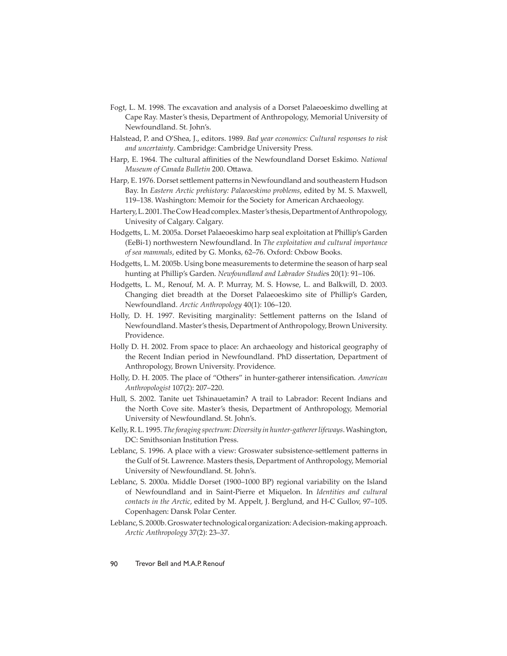- Fogt, L. M. 1998. The excavation and analysis of a Dorset Palaeoeskimo dwelling at Cape Ray. Master's thesis, Department of Anthropology, Memorial University of Newfoundland. St. John's.
- Halstead, P. and O'Shea, J., editors. 1989. *Bad year economics: Cultural responses to risk and uncertainty*. Cambridge: Cambridge University Press.
- Harp, E. 1964. The cultural affinities of the Newfoundland Dorset Eskimo. *National Museum of Canada Bulletin 200. Ottawa.*
- Harp, E. 1976. Dorset settlement patterns in Newfoundland and southeastern Hudson Bay. In *Eastern Arctic prehistory: Palaeoeskimo problems*, edited by M. S. Maxwell, 119–138. Washington: Memoir for the Society for American Archaeology.
- Hartery, L. 2001. The Cow Head complex. Master's thesis, Department of Anthropology, Univesity of Calgary. Calgary.
- Hodgetts, L. M. 2005a. Dorset Palaeoeskimo harp seal exploitation at Phillip's Garden (EeBi-1) northwestern Newfoundland. In *The exploitation and cultural importance of sea mammals*, edited by G. Monks, 62–76. Oxford: Oxbow Books.
- Hodgetts, L. M. 2005b. Using bone measurements to determine the season of harp seal hunting at Phillip's Garden. *Newfoundland and Labrador Studie*s 20(1): 91–106.
- Hodgetts, L. M., Renouf, M. A. P. Murray, M. S. Howse, L. and Balkwill, D. 2003. Changing diet breadth at the Dorset Palaeoeskimo site of Phillip's Garden, Newfoundland. *Arctic Anthropology* 40(1): 106–120.
- Holly, D. H. 1997. Revisiting marginality: Settlement patterns on the Island of Newfoundland. Master's thesis, Department of Anthropology, Brown University. Providence.
- Holly D. H. 2002. From space to place: An archaeology and historical geography of the Recent Indian period in Newfoundland. PhD dissertation, Department of Anthropology, Brown University. Providence.
- Holly, D. H. 2005. The place of "Others" in hunter-gatherer intensification. American *Anthropologist* 107(2): 207–220.
- Hull, S. 2002. Tanite uet Tshinauetamin? A trail to Labrador: Recent Indians and the North Cove site. Master's thesis, Department of Anthropology, Memorial University of Newfoundland. St. John's.
- Kelly, R. L. 1995. *The foraging spectrum: Diversity in hunter-gatherer lifeways*. Washington, DC: Smithsonian Institution Press.
- Leblanc, S. 1996. A place with a view: Groswater subsistence-settlement patterns in the Gulf of St. Lawrence. Masters thesis, Department of Anthropology, Memorial University of Newfoundland. St. John's.
- Leblanc, S. 2000a. Middle Dorset (1900–1000 BP) regional variability on the Island of Newfoundland and in Saint-Pierre et Miquelon. In *Identities and cultural contacts in the Arctic*, edited by M. Appelt, J. Berglund, and H-C Gullov, 97–105. Copenhagen: Dansk Polar Center.
- Leblanc, S. 2000b. Groswater technological organization: A decision-making approach. *Arctic Anthropology* 37(2): 23–37.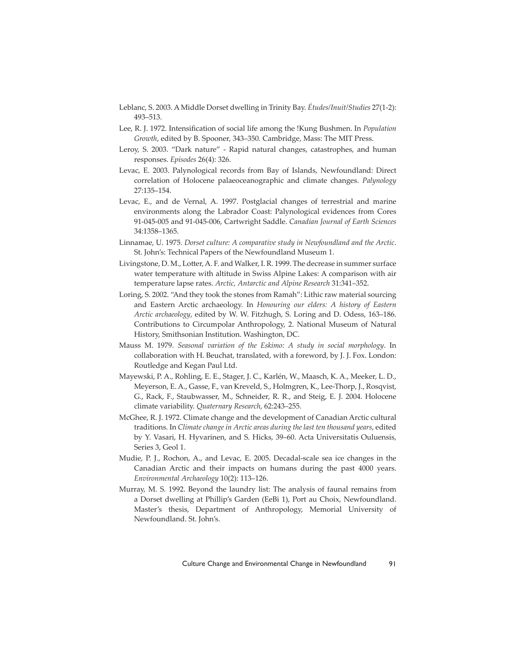- Leblanc, S. 2003. A Middle Dorset dwelling in Trinity Bay. *Études/Inuit/Studies* 27(1-2): 493–513.
- Lee, R. J. 1972. Intensification of social life among the !Kung Bushmen. In *Population Growth*, edited by B. Spooner, 343–350. Cambridge, Mass: The MIT Press.
- Leroy, S. 2003. "Dark nature" Rapid natural changes, catastrophes, and human responses. *Episodes* 26(4): 326.
- Levac, E. 2003. Palynological records from Bay of Islands, Newfoundland: Direct correlation of Holocene palaeoceanographic and climate changes. *Palynology* 27:135–154.
- Levac, E., and de Vernal, A. 1997. Postglacial changes of terrestrial and marine environments along the Labrador Coast: Palynological evidences from Cores 91-045-005 and 91-045-006, Cartwright Saddle. *Canadian Journal of Earth Sciences*  34:1358–1365.
- Linnamae, U. 1975. *Dorset culture: A comparative study in Newfoundland and the Arctic*. St. John's: Technical Papers of the Newfoundland Museum 1.
- Livingstone, D. M., Lotter, A. F. and Walker, I. R. 1999. The decrease in summer surface water temperature with altitude in Swiss Alpine Lakes: A comparison with air temperature lapse rates. *Arctic, Antarctic and Alpine Research* 31:341–352.
- Loring, S. 2002. "And they took the stones from Ramah": Lithic raw material sourcing and Eastern Arctic archaeology. In *Honouring our elders: A history of Eastern Arctic archaeology*, edited by W. W. Fitzhugh, S. Loring and D. Odess, 163–186. Contributions to Circumpolar Anthropology, 2. National Museum of Natural History, Smithsonian Institution. Washington, DC.
- Mauss M. 1979. *Seasonal variation of the Eskimo: A study in social morphology*. In collaboration with H. Beuchat, translated, with a foreword, by J. J. Fox. London: Routledge and Kegan Paul Ltd.
- Mayewski, P. A., Rohling, E. E., Stager, J. C., Karlén, W., Maasch, K. A., Meeker, L. D., Meyerson, E. A., Gasse, F., van Kreveld, S., Holmgren, K., Lee-Thorp, J., Rosqvist, G., Rack, F., Staubwasser, M., Schneider, R. R., and Steig, E. J. 2004. Holocene climate variability. *Quaternary Research*, 62:243–255.
- McGhee, R. J. 1972. Climate change and the development of Canadian Arctic cultural traditions. In *Climate change in Arctic areas during the last ten thousand years*, edited by Y. Vasari, H. Hyvarinen, and S. Hicks, 39–60. Acta Universitatis Ouluensis, Series 3, Geol 1.
- Mudie, P. J., Rochon, A., and Levac, E. 2005. Decadal-scale sea ice changes in the Canadian Arctic and their impacts on humans during the past 4000 years. *Environmental Archaeology* 10(2): 113–126.
- Murray, M. S. 1992. Beyond the laundry list: The analysis of faunal remains from a Dorset dwelling at Phillip's Garden (EeBi 1), Port au Choix, Newfoundland. Master's thesis, Department of Anthropology, Memorial University of Newfoundland. St. John's.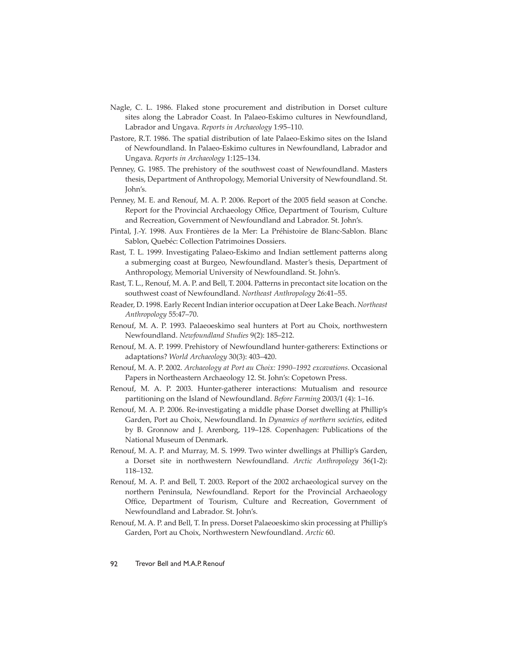- Nagle, C. L. 1986. Flaked stone procurement and distribution in Dorset culture sites along the Labrador Coast. In Palaeo-Eskimo cultures in Newfoundland, Labrador and Ungava. *Reports in Archaeology* 1:95–110.
- Pastore, R.T. 1986. The spatial distribution of late Palaeo-Eskimo sites on the Island of Newfoundland. In Palaeo-Eskimo cultures in Newfoundland, Labrador and Ungava. *Reports in Archaeology* 1:125–134.
- Penney, G. 1985. The prehistory of the southwest coast of Newfoundland. Masters thesis, Department of Anthropology, Memorial University of Newfoundland. St. John's.
- Penney, M. E. and Renouf, M. A. P. 2006. Report of the 2005 field season at Conche. Report for the Provincial Archaeology Office, Department of Tourism, Culture and Recreation, Government of Newfoundland and Labrador. St. John's.
- Pintal, J.-Y. 1998. Aux Frontières de la Mer: La Préhistoire de Blanc-Sablon. Blanc Sablon, Quebéc: Collection Patrimoines Dossiers.
- Rast, T. L. 1999. Investigating Palaeo-Eskimo and Indian settlement patterns along a submerging coast at Burgeo, Newfoundland. Master's thesis, Department of Anthropology, Memorial University of Newfoundland. St. John's.
- Rast, T. L., Renouf, M. A. P. and Bell, T. 2004. Patterns in precontact site location on the southwest coast of Newfoundland. *Northeast Anthropology* 26:41–55.
- Reader, D. 1998. Early Recent Indian interior occupation at Deer Lake Beach. *Northeast Anthropology* 55:47–70.
- Renouf, M. A. P. 1993. Palaeoeskimo seal hunters at Port au Choix, northwestern Newfoundland. *Newfoundland Studies* 9(2): 185–212.
- Renouf, M. A. P. 1999. Prehistory of Newfoundland hunter-gatherers: Extinctions or adaptations? *World Archaeology* 30(3): 403–420.
- Renouf, M. A. P. 2002. *Archaeology at Port au Choix: 1990–1992 excavations*. Occasional Papers in Northeastern Archaeology 12. St. John's: Copetown Press.
- Renouf, M. A. P. 2003. Hunter-gatherer interactions: Mutualism and resource partitioning on the Island of Newfoundland. *Before Farming* 2003/1 (4): 1–16.
- Renouf, M. A. P. 2006. Re-investigating a middle phase Dorset dwelling at Phillip's Garden, Port au Choix, Newfoundland. In *Dynamics of northern societies*, edited by B. Gronnow and J. Arenborg, 119–128. Copenhagen: Publications of the National Museum of Denmark.
- Renouf, M. A. P. and Murray, M. S. 1999. Two winter dwellings at Phillip's Garden, a Dorset site in northwestern Newfoundland. *Arctic Anthropology* 36(1-2): 118–132.
- Renouf, M. A. P. and Bell, T. 2003. Report of the 2002 archaeological survey on the northern Peninsula, Newfoundland. Report for the Provincial Archaeology Office, Department of Tourism, Culture and Recreation, Government of Newfoundland and Labrador. St. John's.
- Renouf, M. A. P. and Bell, T. In press. Dorset Palaeoeskimo skin processing at Phillip's Garden, Port au Choix, Northwestern Newfoundland. *Arctic* 60.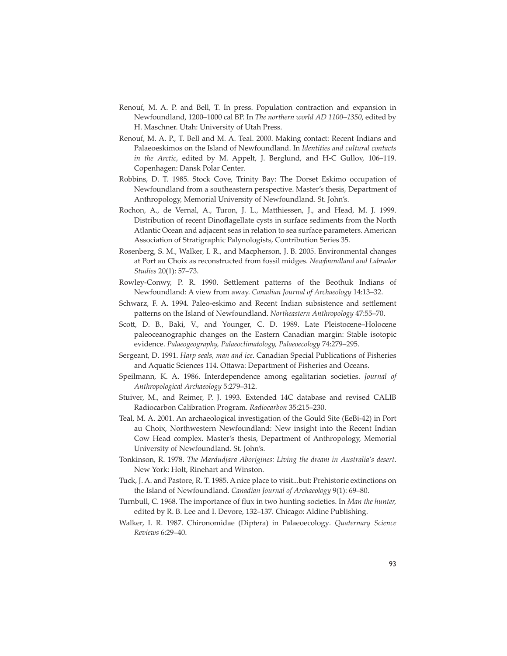- Renouf, M. A. P. and Bell, T. In press. Population contraction and expansion in Newfoundland, 1200–1000 cal BP. In *The northern world AD 1100–1350*, edited by H. Maschner. Utah: University of Utah Press.
- Renouf, M. A. P., T. Bell and M. A. Teal. 2000. Making contact: Recent Indians and Palaeoeskimos on the Island of Newfoundland. In *Identities and cultural contacts in the Arctic*, edited by M. Appelt, J. Berglund, and H-C Gullov, 106–119. Copenhagen: Dansk Polar Center.
- Robbins, D. T. 1985. Stock Cove, Trinity Bay: The Dorset Eskimo occupation of Newfoundland from a southeastern perspective. Master's thesis, Department of Anthropology, Memorial University of Newfoundland. St. John's.
- Rochon, A., de Vernal, A., Turon, J. L., Matthiessen, J., and Head, M. J. 1999. Distribution of recent Dinoflagellate cysts in surface sediments from the North Atlantic Ocean and adjacent seas in relation to sea surface parameters. American Association of Stratigraphic Palynologists, Contribution Series 35.
- Rosenberg, S. M., Walker, I. R., and Macpherson, J. B. 2005. Environmental changes at Port au Choix as reconstructed from fossil midges. *Newfoundland and Labrador Studies* 20(1): 57–73.
- Rowley-Conwy, P. R. 1990. Settlement patterns of the Beothuk Indians of Newfoundland: A view from away. *Canadian Journal of Archaeology* 14:13–32.
- Schwarz, F. A. 1994. Paleo-eskimo and Recent Indian subsistence and settlement patterns on the Island of Newfoundland. *Northeastern Anthropology* 47:55-70.
- Scott, D. B., Baki, V., and Younger, C. D. 1989. Late Pleistocene–Holocene paleoceanographic changes on the Eastern Canadian margin: Stable isotopic evidence. *Palaeogeography, Palaeoclimatology, Palaeoecology* 74:279–295.
- Sergeant, D. 1991. *Harp seals, man and ice*. Canadian Special Publications of Fisheries and Aquatic Sciences 114. Ottawa: Department of Fisheries and Oceans.
- Speilmann, K. A. 1986. Interdependence among egalitarian societies. *Journal of Anthropological Archaeology* 5:279–312.
- Stuiver, M., and Reimer, P. J. 1993. Extended 14C database and revised CALIB Radiocarbon Calibration Program. *Radiocarbon* 35:215–230.
- Teal, M. A. 2001. An archaeological investigation of the Gould Site (EeBi-42) in Port au Choix, Northwestern Newfoundland: New insight into the Recent Indian Cow Head complex. Master's thesis, Department of Anthropology, Memorial University of Newfoundland. St. John's.
- Tonkinson, R. 1978. *The Mardudjara Aborigines: Living the dream in Australia's desert*. New York: Holt, Rinehart and Winston.
- Tuck, J. A. and Pastore, R. T. 1985. A nice place to visit...but: Prehistoric extinctions on the Island of Newfoundland. *Canadian Journal of Archaeology* 9(1): 69–80.
- Turnbull, C. 1968. The importance of flux in two hunting societies. In *Man the hunter*, edited by R. B. Lee and I. Devore, 132–137. Chicago: Aldine Publishing.
- Walker, I. R. 1987. Chironomidae (Diptera) in Palaeoecology*. Quaternary Science Reviews* 6:29–40.